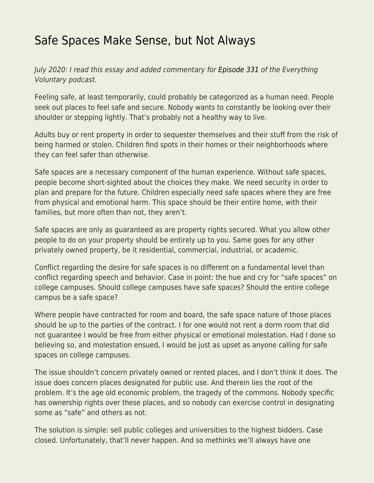## [Safe Spaces Make Sense, but Not Always](https://everything-voluntary.com/safe-spaces-make-sense-but-not-always)

July 2020: I read this essay and added commentary for [Episode 331](https://everything-voluntary.com/mr-radical-libertarian-safe-spaces-27m-episode-331) of the Everything Voluntary podcast.

Feeling safe, at least temporarily, could probably be categorized as a human need. People seek out places to feel safe and secure. Nobody wants to constantly be looking over their shoulder or stepping lightly. That's probably not a healthy way to live.

Adults buy or rent property in order to sequester themselves and their stuff from the risk of being harmed or stolen. Children find spots in their homes or their neighborhoods where they can feel safer than otherwise.

Safe spaces are a necessary component of the human experience. Without safe spaces, people become short-sighted about the choices they make. We need security in order to plan and prepare for the future. Children especially need safe spaces where they are free from physical and emotional harm. This space should be their entire home, with their families, but more often than not, they aren't.

Safe spaces are only as guaranteed as are property rights secured. What you allow other people to do on your property should be entirely up to you. Same goes for any other privately owned property, be it residential, commercial, industrial, or academic.

Conflict regarding the desire for safe spaces is no different on a fundamental level than conflict regarding speech and behavior. Case in point: the hue and cry for "safe spaces" on college campuses. Should college campuses have safe spaces? Should the entire college campus be a safe space?

Where people have contracted for room and board, the safe space nature of those places should be up to the parties of the contract. I for one would not rent a dorm room that did not guarantee I would be free from either physical or emotional molestation. Had I done so believing so, and molestation ensued, I would be just as upset as anyone calling for safe spaces on college campuses.

The issue shouldn't concern privately owned or rented places, and I don't think it does. The issue does concern places designated for public use. And therein lies the root of the problem. It's the age old economic problem, the tragedy of the commons. Nobody specific has ownership rights over these places, and so nobody can exercise control in designating some as "safe" and others as not.

The solution is simple: sell public colleges and universities to the highest bidders. Case closed. Unfortunately, that'll never happen. And so methinks we'll always have one